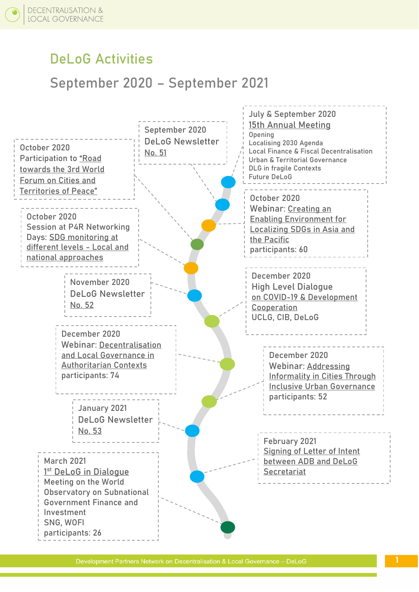## **DeLoG Activities**

## **September 2020 – September 2021**